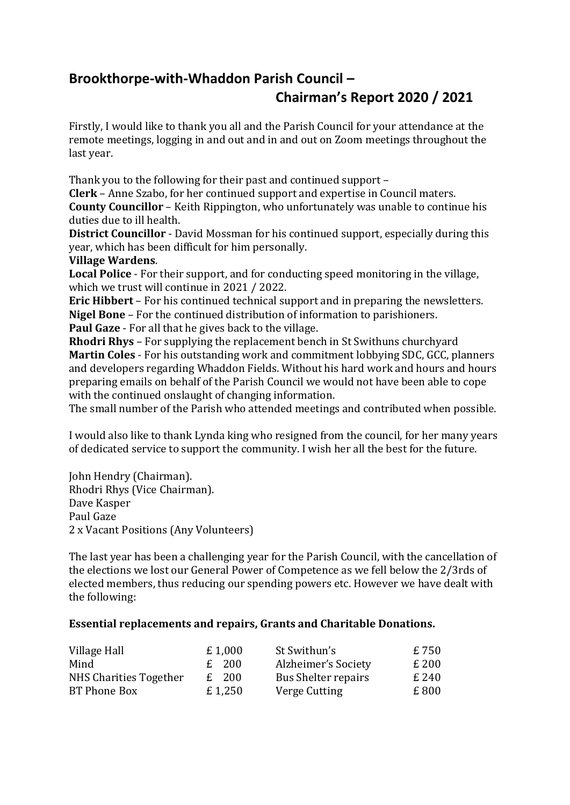# **Brookthorpe-with-Whaddon Parish Council – Chairman's Report 2020 / 2021**

Firstly, I would like to thank you all and the Parish Council for your attendance at the remote meetings, logging in and out and in and out on Zoom meetings throughout the last year.

Thank you to the following for their past and continued support –

**Clerk** – Anne Szabo, for her continued support and expertise in Council maters. **County Councillor** – Keith Rippington, who unfortunately was unable to continue his duties due to ill health.

**District Councillor** - David Mossman for his continued support, especially during this year, which has been difficult for him personally.

#### **Village Wardens**.

**Local Police** - For their support, and for conducting speed monitoring in the village, which we trust will continue in 2021 / 2022.

**Eric Hibbert** – For his continued technical support and in preparing the newsletters. **Nigel Bone** – For the continued distribution of information to parishioners. **Paul Gaze** - For all that he gives back to the village.

**Rhodri Rhys** – For supplying the replacement bench in St Swithuns churchyard **Martin Coles** - For his outstanding work and commitment lobbying SDC, GCC, planners and developers regarding Whaddon Fields. Without his hard work and hours and hours preparing emails on behalf of the Parish Council we would not have been able to cope with the continued onslaught of changing information.

The small number of the Parish who attended meetings and contributed when possible.

I would also like to thank Lynda king who resigned from the council, for her many years of dedicated service to support the community. I wish her all the best for the future.

John Hendry (Chairman). Rhodri Rhys (Vice Chairman). Dave Kasper Paul Gaze 2 x Vacant Positions (Any Volunteers)

The last year has been a challenging year for the Parish Council, with the cancellation of the elections we lost our General Power of Competence as we fell below the 2/3rds of elected members, thus reducing our spending powers etc. However we have dealt with the following:

#### **Essential replacements and repairs, Grants and Charitable Donations.**

| Village Hall           | £1,000               | St Swithun's               | £750  |
|------------------------|----------------------|----------------------------|-------|
| Mind                   | $\epsilon$ 200       | Alzheimer's Society        | £ 200 |
| NHS Charities Together | $\textsterling} 200$ | <b>Bus Shelter repairs</b> | £ 240 |
| BT Phone Box           | £1,250               | Verge Cutting              | £800  |